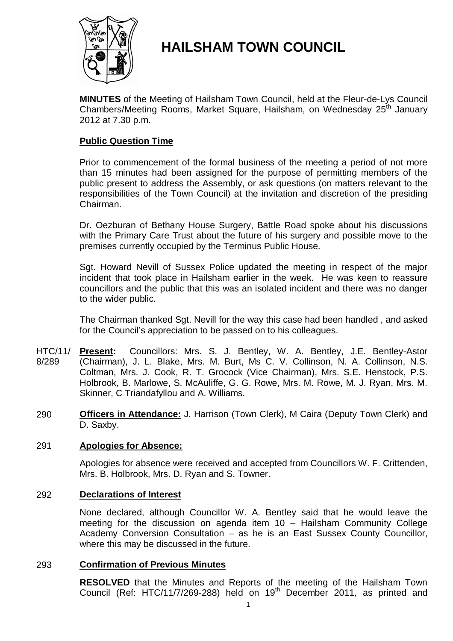

# **HAILSHAM TOWN COUNCIL**

**MINUTES** of the Meeting of Hailsham Town Council, held at the Fleur-de-Lys Council Chambers/Meeting Rooms, Market Square, Hailsham, on Wednesday 25<sup>th</sup> January 2012 at 7.30 p.m.

# **Public Question Time**

Prior to commencement of the formal business of the meeting a period of not more than 15 minutes had been assigned for the purpose of permitting members of the public present to address the Assembly, or ask questions (on matters relevant to the responsibilities of the Town Council) at the invitation and discretion of the presiding Chairman.

Dr. Oezburan of Bethany House Surgery, Battle Road spoke about his discussions with the Primary Care Trust about the future of his surgery and possible move to the premises currently occupied by the Terminus Public House.

Sgt. Howard Nevill of Sussex Police updated the meeting in respect of the major incident that took place in Hailsham earlier in the week. He was keen to reassure councillors and the public that this was an isolated incident and there was no danger to the wider public.

The Chairman thanked Sgt. Nevill for the way this case had been handled , and asked for the Council's appreciation to be passed on to his colleagues.

- HTC/11/ 8/289 **Present:** Councillors: Mrs. S. J. Bentley, W. A. Bentley, J.E. Bentley-Astor (Chairman), J. L. Blake, Mrs. M. Burt, Ms C. V. Collinson, N. A. Collinson, N.S. Coltman, Mrs. J. Cook, R. T. Grocock (Vice Chairman), Mrs. S.E. Henstock, P.S. Holbrook, B. Marlowe, S. McAuliffe, G. G. Rowe, Mrs. M. Rowe, M. J. Ryan, Mrs. M. Skinner, C Triandafyllou and A. Williams.
- 290 **Officers in Attendance:** J. Harrison (Town Clerk), M Caira (Deputy Town Clerk) and D. Saxby.

# 291 **Apologies for Absence:**

Apologies for absence were received and accepted from Councillors W. F. Crittenden, Mrs. B. Holbrook, Mrs. D. Ryan and S. Towner.

### 292 **Declarations of Interest**

None declared, although Councillor W. A. Bentley said that he would leave the meeting for the discussion on agenda item 10 – Hailsham Community College Academy Conversion Consultation – as he is an East Sussex County Councillor, where this may be discussed in the future.

### 293 **Confirmation of Previous Minutes**

**RESOLVED** that the Minutes and Reports of the meeting of the Hailsham Town Council (Ref: HTC/11/7/269-288) held on  $19<sup>th</sup>$  December 2011, as printed and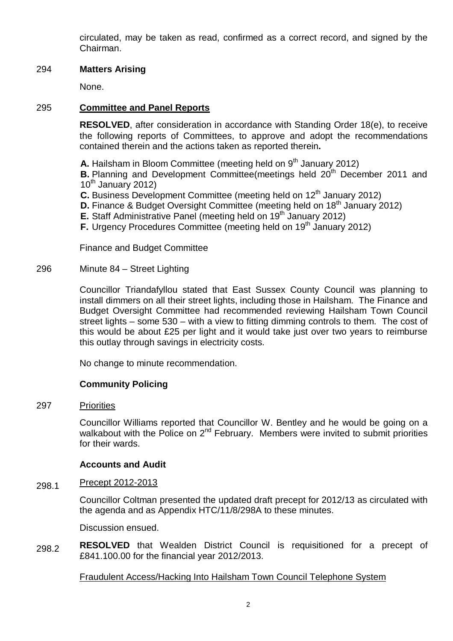circulated, may be taken as read, confirmed as a correct record, and signed by the Chairman.

# 294 **Matters Arising**

None.

# 295 **Committee and Panel Reports**

**RESOLVED**, after consideration in accordance with Standing Order 18(e), to receive the following reports of Committees, to approve and adopt the recommendations contained therein and the actions taken as reported therein**.**

**A.** Hailsham in Bloom Committee (meeting held on 9<sup>th</sup> January 2012) **B.** Planning and Development Committee(meetings held 20<sup>th</sup> December 2011 and  $10<sup>th</sup>$  January 2012)

- **C.** Business Development Committee (meeting held on 12<sup>th</sup> January 2012)
- **D.** Finance & Budget Oversight Committee (meeting held on 18<sup>th</sup> January 2012)
- **E.** Staff Administrative Panel (meeting held on 19<sup>th</sup> January 2012)
- **F.** Urgency Procedures Committee (meeting held on 19<sup>th</sup> January 2012)

Finance and Budget Committee

#### 296 Minute 84 – Street Lighting

Councillor Triandafyllou stated that East Sussex County Council was planning to install dimmers on all their street lights, including those in Hailsham. The Finance and Budget Oversight Committee had recommended reviewing Hailsham Town Council street lights – some 530 – with a view to fitting dimming controls to them. The cost of this would be about £25 per light and it would take just over two years to reimburse this outlay through savings in electricity costs.

No change to minute recommendation.

# **Community Policing**

#### 297 **Priorities**

Councillor Williams reported that Councillor W. Bentley and he would be going on a walkabout with the Police on  $2^{nd}$  February. Members were invited to submit priorities for their wards.

# **Accounts and Audit**

#### 298.1 Precept 2012-2013

Councillor Coltman presented the updated draft precept for 2012/13 as circulated with the agenda and as Appendix HTC/11/8/298A to these minutes.

Discussion ensued.

298.2 **RESOLVED** that Wealden District Council is requisitioned for a precept of £841.100.00 for the financial year 2012/2013.

# Fraudulent Access/Hacking Into Hailsham Town Council Telephone System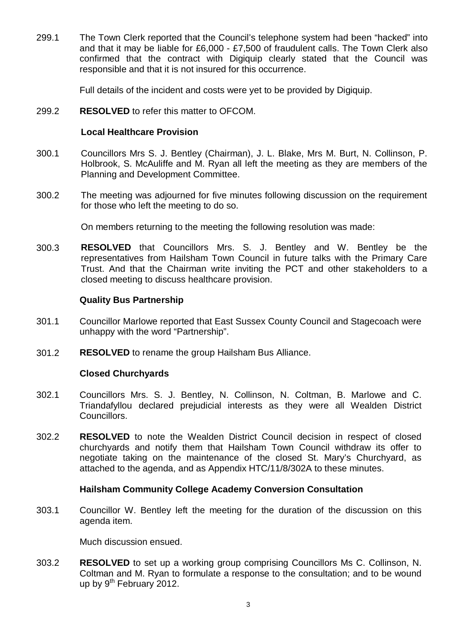299.1 The Town Clerk reported that the Council's telephone system had been "hacked" into and that it may be liable for £6,000 - £7,500 of fraudulent calls. The Town Clerk also confirmed that the contract with Digiquip clearly stated that the Council was responsible and that it is not insured for this occurrence.

Full details of the incident and costs were yet to be provided by Digiquip.

299.2 **RESOLVED** to refer this matter to OFCOM.

# **Local Healthcare Provision**

- 300.1 Councillors Mrs S. J. Bentley (Chairman), J. L. Blake, Mrs M. Burt, N. Collinson, P. Holbrook, S. McAuliffe and M. Ryan all left the meeting as they are members of the Planning and Development Committee.
- 300.2 The meeting was adjourned for five minutes following discussion on the requirement for those who left the meeting to do so.

On members returning to the meeting the following resolution was made:

300.3 **RESOLVED** that Councillors Mrs. S. J. Bentley and W. Bentley be the representatives from Hailsham Town Council in future talks with the Primary Care Trust. And that the Chairman write inviting the PCT and other stakeholders to a closed meeting to discuss healthcare provision.

# **Quality Bus Partnership**

- 301.1 Councillor Marlowe reported that East Sussex County Council and Stagecoach were unhappy with the word "Partnership".
- 301.2 **RESOLVED** to rename the group Hailsham Bus Alliance.

# **Closed Churchyards**

- 302.1 Councillors Mrs. S. J. Bentley, N. Collinson, N. Coltman, B. Marlowe and C. Triandafyllou declared prejudicial interests as they were all Wealden District Councillors.
- 302.2 **RESOLVED** to note the Wealden District Council decision in respect of closed churchyards and notify them that Hailsham Town Council withdraw its offer to negotiate taking on the maintenance of the closed St. Mary's Churchyard, as attached to the agenda, and as Appendix HTC/11/8/302A to these minutes.

# **Hailsham Community College Academy Conversion Consultation**

303.1 Councillor W. Bentley left the meeting for the duration of the discussion on this agenda item.

Much discussion ensued.

303.2 **RESOLVED** to set up a working group comprising Councillors Ms C. Collinson, N. Coltman and M. Ryan to formulate a response to the consultation; and to be wound up by 9<sup>th</sup> February 2012.